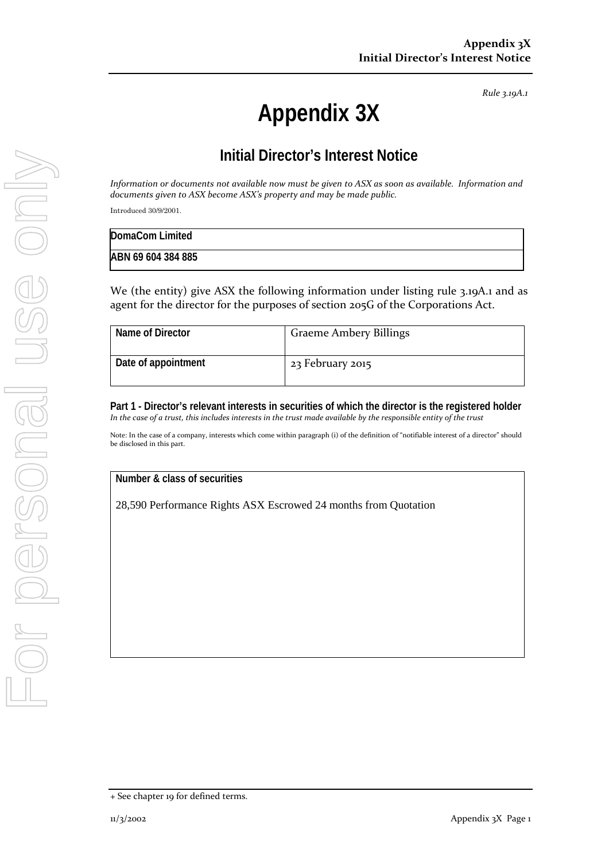*Rule 3.19A.1*

# **Appendix 3X**

## **Initial Director's Interest Notice**

*Information or documents not available now must be given to ASX as soon as available. Information and documents given to ASX become ASX's property and may be made public.*

Introduced 30/9/2001.

| DomaCom Limited    |  |
|--------------------|--|
| ABN 69 604 384 885 |  |

We (the entity) give ASX the following information under listing rule 3.19A.1 and as agent for the director for the purposes of section 205G of the Corporations Act.

| Name of Director    | <b>Graeme Ambery Billings</b> |
|---------------------|-------------------------------|
| Date of appointment | 23 February 2015              |

**Part 1 - Director's relevant interests in securities of which the director is the registered holder** *In the case of a trust, this includes interests in the trust made available by the responsible entity of the trust*

Note: In the case of a company, interests which come within paragraph (i) of the definition of "notifiable interest of a director" should be disclosed in this part.

#### **Number & class of securities**

28,590 Performance Rights ASX Escrowed 24 months from Quotation

<sup>+</sup> See chapter 19 for defined terms.